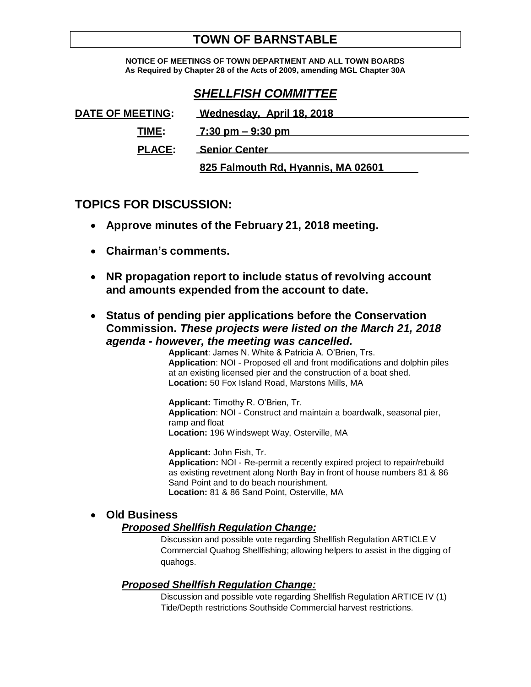# **TOWN OF BARNSTABLE**

**NOTICE OF MEETINGS OF TOWN DEPARTMENT AND ALL TOWN BOARDS As Required by Chapter 28 of the Acts of 2009, amending MGL Chapter 30A**

# *SHELLFISH COMMITTEE*

| <b>DATE OF MEETING:</b> | Wednesday, April 18, 2018           |
|-------------------------|-------------------------------------|
| TIME:                   | $7:30 \text{ pm} - 9:30 \text{ pm}$ |
| <b>PLACE:</b>           | <b>Senior Center</b>                |
|                         | 825 Falmouth Rd, Hyannis, MA 02601  |

## **TOPICS FOR DISCUSSION:**

- **Approve minutes of the February 21, 2018 meeting.**
- **Chairman's comments.**
- **NR propagation report to include status of revolving account and amounts expended from the account to date.**
- **Status of pending pier applications before the Conservation Commission.** *These projects were listed on the March 21, 2018 agenda - however, the meeting was cancelled.*

**Applicant**: James N. White & Patricia A. O'Brien, Trs. **Application**: NOI - Proposed ell and front modifications and dolphin piles at an existing licensed pier and the construction of a boat shed. **Location:** 50 Fox Island Road, Marstons Mills, MA

**Applicant:** Timothy R. O'Brien, Tr. **Application**: NOI - Construct and maintain a boardwalk, seasonal pier, ramp and float **Location:** 196 Windswept Way, Osterville, MA

**Applicant:** John Fish, Tr. **Application:** NOI - Re-permit a recently expired project to repair/rebuild as existing revetment along North Bay in front of house numbers 81 & 86 Sand Point and to do beach nourishment. **Location:** 81 & 86 Sand Point, Osterville, MA

## **Old Business**

### *Proposed Shellfish Regulation Change:*

Discussion and possible vote regarding Shellfish Regulation ARTICLE V Commercial Quahog Shellfishing; allowing helpers to assist in the digging of quahogs.

## *Proposed Shellfish Regulation Change:*

Discussion and possible vote regarding Shellfish Regulation ARTICE IV (1) Tide/Depth restrictions Southside Commercial harvest restrictions.